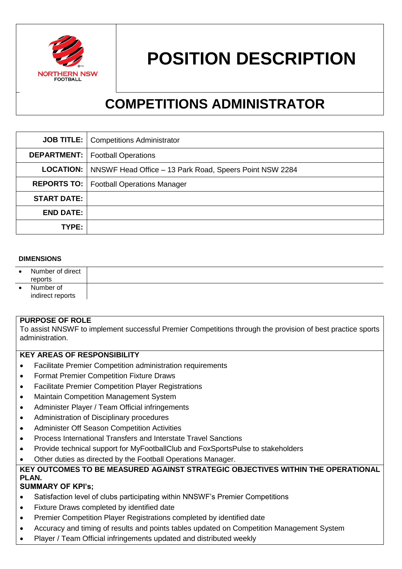

# **POSITION DESCRIPTION**

# **COMPETITIONS ADMINISTRATOR**

|                    | <b>JOB TITLE:</b>   Competitions Administrator                           |
|--------------------|--------------------------------------------------------------------------|
|                    | <b>DEPARTMENT:</b>   Football Operations                                 |
|                    | <b>LOCATION:</b> NNSWF Head Office – 13 Park Road, Speers Point NSW 2284 |
|                    | <b>REPORTS TO:</b>   Football Operations Manager                         |
| <b>START DATE:</b> |                                                                          |
| <b>END DATE:</b>   |                                                                          |
| <b>TYPE:</b>       |                                                                          |

#### **DIMENSIONS**

| $\bullet$ | Number of direct<br>reports   |  |
|-----------|-------------------------------|--|
|           | Number of<br>indirect reports |  |

#### **PURPOSE OF ROLE**

To assist NNSWF to implement successful Premier Competitions through the provision of best practice sports administration.

### **KEY AREAS OF RESPONSIBILITY**

- Facilitate Premier Competition administration requirements
- Format Premier Competition Fixture Draws
- Facilitate Premier Competition Player Registrations
- Maintain Competition Management System
- Administer Player / Team Official infringements
- Administration of Disciplinary procedures
- **Administer Off Season Competition Activities**
- **•** Process International Transfers and Interstate Travel Sanctions
- Provide technical support for MyFootballClub and FoxSportsPulse to stakeholders
- Other duties as directed by the Football Operations Manager.

## **KEY OUTCOMES TO BE MEASURED AGAINST STRATEGIC OBJECTIVES WITHIN THE OPERATIONAL PLAN.**

#### **SUMMARY OF KPI's;**

- Satisfaction level of clubs participating within NNSWF's Premier Competitions
- Fixture Draws completed by identified date
- Premier Competition Player Registrations completed by identified date
- Accuracy and timing of results and points tables updated on Competition Management System
- Player / Team Official infringements updated and distributed weekly